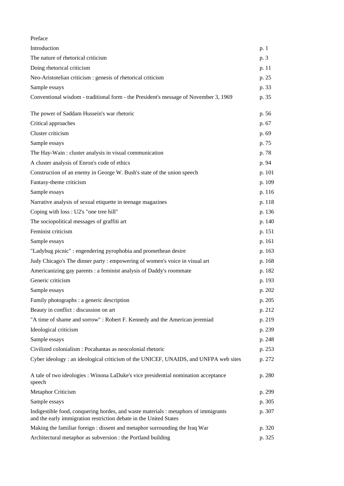| Preface                                                                                                                                                  |        |
|----------------------------------------------------------------------------------------------------------------------------------------------------------|--------|
| Introduction                                                                                                                                             | p. 1   |
| The nature of rhetorical criticism                                                                                                                       | p. 3   |
| Doing rhetorical criticism                                                                                                                               | p. 11  |
| Neo-Aristotelian criticism : genesis of rhetorical criticism                                                                                             | p. 25  |
| Sample essays                                                                                                                                            | p. 33  |
| Conventional wisdom - traditional form - the President's message of November 3, 1969                                                                     | p. 35  |
| The power of Saddam Hussein's war rhetoric                                                                                                               | p. 56  |
| Critical approaches                                                                                                                                      | p. 67  |
| Cluster criticism                                                                                                                                        | p. 69  |
| Sample essays                                                                                                                                            | p. 75  |
| The Hay-Wain : cluster analysis in visual communication                                                                                                  | p. 78  |
| A cluster analysis of Enron's code of ethics                                                                                                             | p. 94  |
| Construction of an enemy in George W. Bush's state of the union speech                                                                                   | p. 101 |
| Fantasy-theme criticism                                                                                                                                  | p. 109 |
| Sample essays                                                                                                                                            | p. 116 |
| Narrative analysis of sexual etiquette in teenage magazines                                                                                              | p. 118 |
| Coping with loss : U2's "one tree hill"                                                                                                                  | p. 136 |
| The sociopolitical messages of graffiti art                                                                                                              | p. 140 |
| Feminist criticism                                                                                                                                       | p. 151 |
| Sample essays                                                                                                                                            | p. 161 |
| "Ladybug picnic" : engendering pyrophobia and promethean desire                                                                                          | p. 163 |
| Judy Chicago's The dinner party : empowering of women's voice in visual art                                                                              | p. 168 |
| Americanizing gay parents : a feminist analysis of Daddy's roommate                                                                                      | p. 182 |
| Generic criticism                                                                                                                                        | p. 193 |
| Sample essays                                                                                                                                            | p. 202 |
| Family photographs : a generic description                                                                                                               | p. 205 |
| Beauty in conflict : discussion on art                                                                                                                   | p. 212 |
| "A time of shame and sorrow": Robert F. Kennedy and the American jeremiad                                                                                | p. 219 |
| Ideological criticism                                                                                                                                    | p. 239 |
| Sample essays                                                                                                                                            | p. 248 |
| Civilized colonialism : Pocahantas as neocolonial rhetoric                                                                                               | p. 253 |
| Cyber ideology: an ideological criticism of the UNICEF, UNAIDS, and UNFPA web sites                                                                      | p. 272 |
| A tale of two ideologies : Winona LaDuke's vice presidential nomination acceptance<br>speech                                                             | p. 280 |
| Metaphor Criticism                                                                                                                                       | p. 299 |
| Sample essays                                                                                                                                            | p. 305 |
| Indigestible food, conquering hordes, and waste materials : metaphors of immigrants<br>and the early immigration restriction debate in the United States | p. 307 |
| Making the familiar foreign : dissent and metaphor surrounding the Iraq War                                                                              | p. 320 |
| Architectural metaphor as subversion : the Portland building                                                                                             | p. 325 |